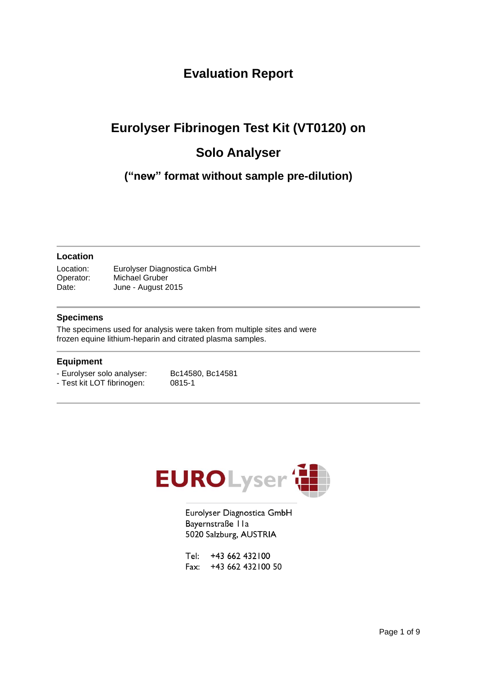### **Evaluation Report**

# **Eurolyser Fibrinogen Test Kit (VT0120) on Solo Analyser**

**("new" format without sample pre-dilution)**

### **Location**

Location: Eurolyser Diagnostica GmbH Operator: Michael Gruber Date: June - August 2015

### **Specimens**

The specimens used for analysis were taken from multiple sites and were frozen equine lithium-heparin and citrated plasma samples.

#### **Equipment**

- Eurolyser solo analyser: Bc14580, Bc14581<br>- Test kit LOT fibrinogen: 0815-1 - Test kit LOT fibrinogen:
	-



Eurolyser Diagnostica GmbH Bayernstraße IIa 5020 Salzburg, AUSTRIA

Tel: +43 662 432100 Fax: +43 662 432 100 50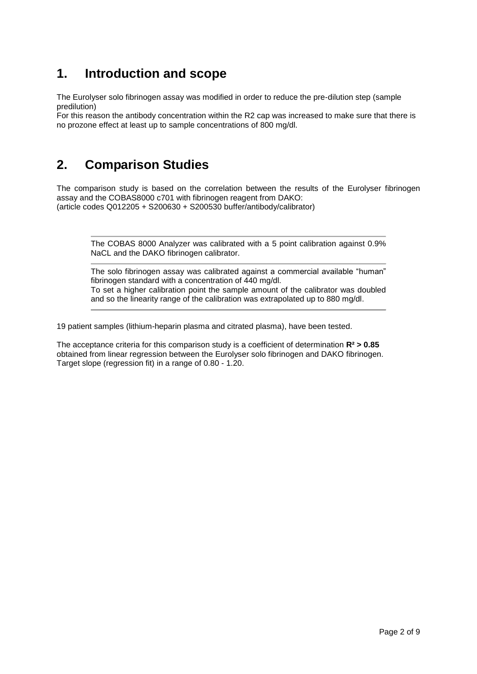### **1. Introduction and scope**

The Eurolyser solo fibrinogen assay was modified in order to reduce the pre-dilution step (sample predilution)

For this reason the antibody concentration within the R2 cap was increased to make sure that there is no prozone effect at least up to sample concentrations of 800 mg/dl.

### **2. Comparison Studies**

The comparison study is based on the correlation between the results of the Eurolyser fibrinogen assay and the COBAS8000 c701 with fibrinogen reagent from DAKO: (article codes Q012205 + S200630 + S200530 buffer/antibody/calibrator)

The COBAS 8000 Analyzer was calibrated with a 5 point calibration against 0.9% NaCL and the DAKO fibrinogen calibrator.

The solo fibrinogen assay was calibrated against a commercial available "human" fibrinogen standard with a concentration of 440 mg/dl. To set a higher calibration point the sample amount of the calibrator was doubled and so the linearity range of the calibration was extrapolated up to 880 mg/dl.

19 patient samples (lithium-heparin plasma and citrated plasma), have been tested.

The acceptance criteria for this comparison study is a coefficient of determination **R² > 0.85** obtained from linear regression between the Eurolyser solo fibrinogen and DAKO fibrinogen. Target slope (regression fit) in a range of 0.80 - 1.20.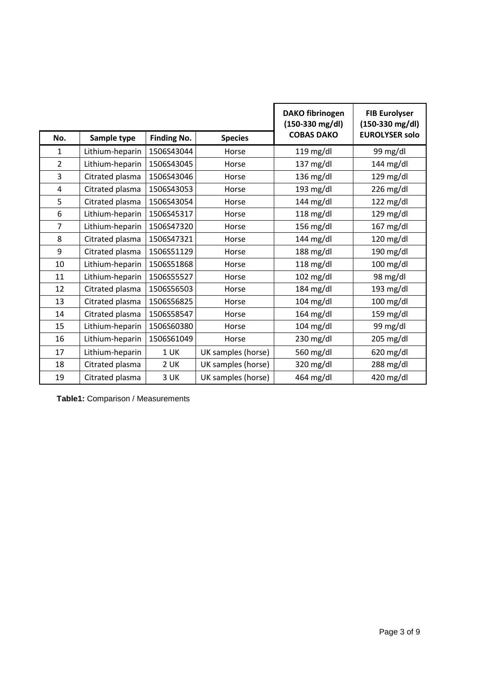|                |                 |                    | <b>DAKO fibrinogen</b><br>$(150-330$ mg/dl) | <b>FIB Eurolyser</b><br>$(150-330$ mg/dl) |                       |
|----------------|-----------------|--------------------|---------------------------------------------|-------------------------------------------|-----------------------|
| No.            | Sample type     | <b>Finding No.</b> | <b>Species</b>                              | <b>COBAS DAKO</b>                         | <b>EUROLYSER solo</b> |
| $\mathbf{1}$   | Lithium-heparin | 1506S43044         | Horse                                       | $119$ mg/dl                               | 99 mg/dl              |
| $\overline{2}$ | Lithium-heparin | 1506S43045         | Horse                                       | 137 mg/dl                                 | 144 mg/dl             |
| 3              | Citrated plasma | 1506S43046         | Horse                                       | 136 mg/dl                                 | 129 mg/dl             |
| 4              | Citrated plasma | 1506S43053         | Horse                                       | 193 mg/dl                                 | 226 mg/dl             |
| 5              | Citrated plasma | 1506S43054         | Horse                                       | $144$ mg/dl                               | $122$ mg/dl           |
| 6              | Lithium-heparin | 1506S45317         | Horse                                       | $118$ mg/dl                               | $129$ mg/dl           |
| $\overline{7}$ | Lithium-heparin | 1506S47320         | Horse                                       | $156$ mg/dl                               | $167$ mg/dl           |
| 8              | Citrated plasma | 1506S47321         | Horse                                       | 144 mg/dl                                 | 120 mg/dl             |
| 9              | Citrated plasma | 1506S51129         | Horse                                       | $188$ mg/dl                               | 190 mg/dl             |
| 10             | Lithium-heparin | 1506S51868         | Horse                                       | $118$ mg/dl                               | $100$ mg/dl           |
| 11             | Lithium-heparin | 1506S55527         | Horse                                       | $102$ mg/dl                               | 98 mg/dl              |
| 12             | Citrated plasma | 1506S56503         | Horse                                       | $184$ mg/dl                               | $193$ mg/dl           |
| 13             | Citrated plasma | 1506S56825         | Horse                                       | $104$ mg/dl                               | 100 mg/dl             |
| 14             | Citrated plasma | 1506S58547         | Horse                                       | $164$ mg/dl                               | 159 mg/dl             |
| 15             | Lithium-heparin | 1506S60380         | Horse                                       | $104$ mg/dl                               | 99 mg/dl              |
| 16             | Lithium-heparin | 1506S61049         | Horse                                       | 230 mg/dl                                 | 205 mg/dl             |
| 17             | Lithium-heparin | 1 <sub>UK</sub>    | UK samples (horse)                          | 560 mg/dl                                 | 620 mg/dl             |
| 18             | Citrated plasma | 2 UK               | UK samples (horse)                          | 320 mg/dl                                 | 288 mg/dl             |
| 19             | Citrated plasma | 3 UK               | UK samples (horse)                          | 464 mg/dl                                 | 420 mg/dl             |

**Table1:** Comparison / Measurements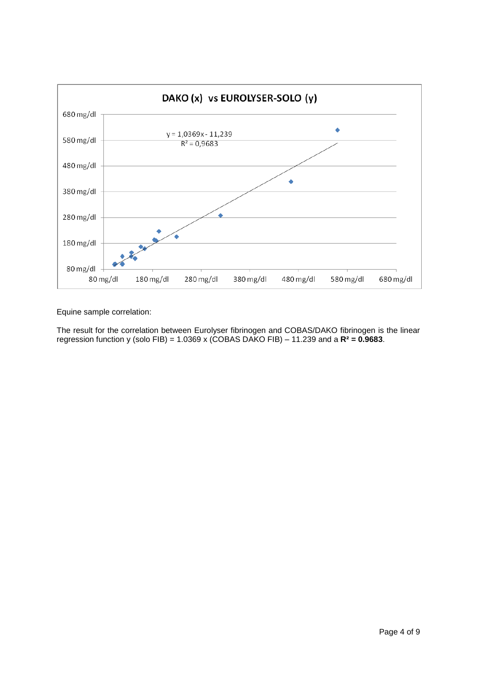

Equine sample correlation:

The result for the correlation between Eurolyser fibrinogen and COBAS/DAKO fibrinogen is the linear regression function y (solo FIB) = 1.0369 x (COBAS DAKO FIB) – 11.239 and a **R² = 0.9683**.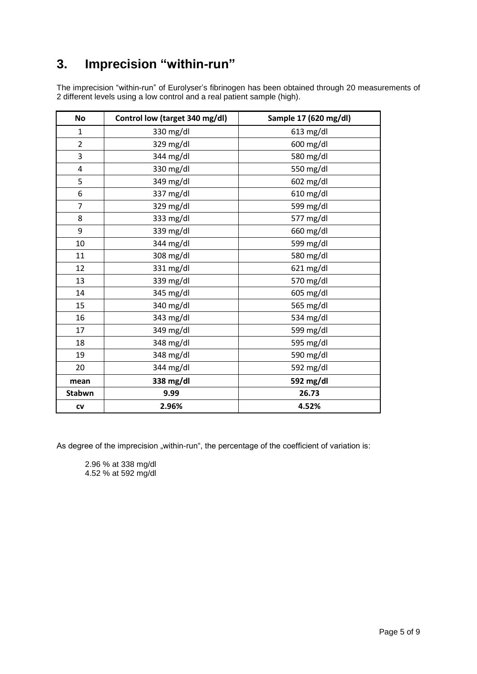### **3. Imprecision "within-run"**

The imprecision "within-run" of Eurolyser's fibrinogen has been obtained through 20 measurements of different levels using a low control and a real patient sample (high).

| <b>No</b>      | Control low (target 340 mg/dl) | Sample 17 (620 mg/dl) |
|----------------|--------------------------------|-----------------------|
| $\mathbf{1}$   | 330 mg/dl                      | $613$ mg/dl           |
| $\overline{2}$ | 329 mg/dl                      | 600 mg/dl             |
| 3              | 344 mg/dl                      | 580 mg/dl             |
| 4              | 330 mg/dl                      | 550 mg/dl             |
| 5              | 349 mg/dl                      | $602$ mg/dl           |
| 6              | 337 mg/dl                      | $610$ mg/dl           |
| $\overline{7}$ | 329 mg/dl                      | 599 mg/dl             |
| 8              | 333 mg/dl                      | 577 mg/dl             |
| 9              | 339 mg/dl                      | 660 mg/dl             |
| 10             | 344 mg/dl                      | 599 mg/dl             |
| 11             | 308 mg/dl                      | 580 mg/dl             |
| 12             | 331 mg/dl                      | 621 mg/dl             |
| 13             | 339 mg/dl                      | 570 mg/dl             |
| 14             | 345 mg/dl                      | $605 \text{ mg/dl}$   |
| 15             | 340 mg/dl                      | 565 mg/dl             |
| 16             | 343 mg/dl                      | 534 mg/dl             |
| 17             | 349 mg/dl                      | 599 mg/dl             |
| 18             | 348 mg/dl                      | 595 mg/dl             |
| 19             | 348 mg/dl                      | 590 mg/dl             |
| 20             | 344 mg/dl                      | 592 mg/dl             |
| mean           | 338 mg/dl                      | 592 mg/dl             |
| Stabwn         | 9.99                           | 26.73                 |
| <b>CV</b>      | 2.96%                          | 4.52%                 |

As degree of the imprecision "within-run", the percentage of the coefficient of variation is:

2.96 % at 338 mg/dl 4.52 % at 592 mg/dl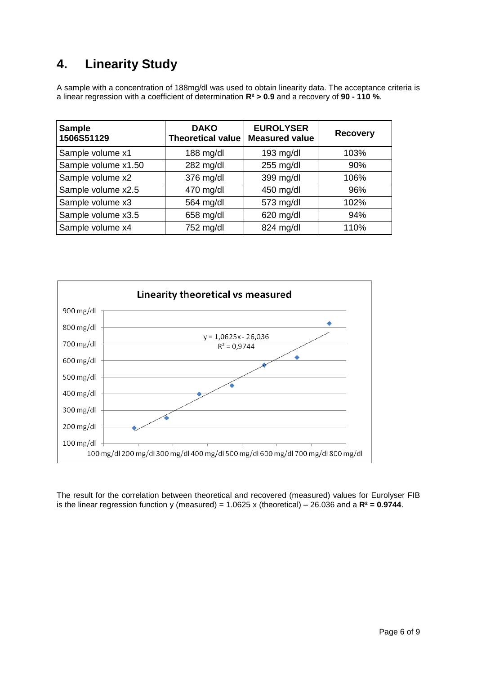## **4. Linearity Study**

A sample with a concentration of 188mg/dl was used to obtain linearity data. The acceptance criteria is a linear regression with a coefficient of determination **R² > 0.9** and a recovery of **90 - 110 %**.

| <b>Sample</b><br>1506S51129 | <b>DAKO</b><br><b>Theoretical value</b> | <b>EUROLYSER</b><br><b>Measured value</b> | <b>Recovery</b> |
|-----------------------------|-----------------------------------------|-------------------------------------------|-----------------|
| Sample volume x1            | $188$ mg/dl                             | $193$ mg/dl                               | 103%            |
| Sample volume x1.50         | 282 mg/dl                               | 255 mg/dl                                 | 90%             |
| Sample volume x2            | 376 mg/dl                               | 399 mg/dl                                 | 106%            |
| Sample volume x2.5          | 470 mg/dl                               | 450 mg/dl                                 | 96%             |
| Sample volume x3            | 564 mg/dl                               | 573 mg/dl                                 | 102%            |
| Sample volume x3.5          | 658 mg/dl                               | 620 mg/dl                                 | 94%             |
| Sample volume x4            | 752 mg/dl                               | 824 mg/dl                                 | 110%            |



The result for the correlation between theoretical and recovered (measured) values for Eurolyser FIB is the linear regression function y (measured) = 1.0625 x (theoretical) – 26.036 and a **R² = 0.9744**.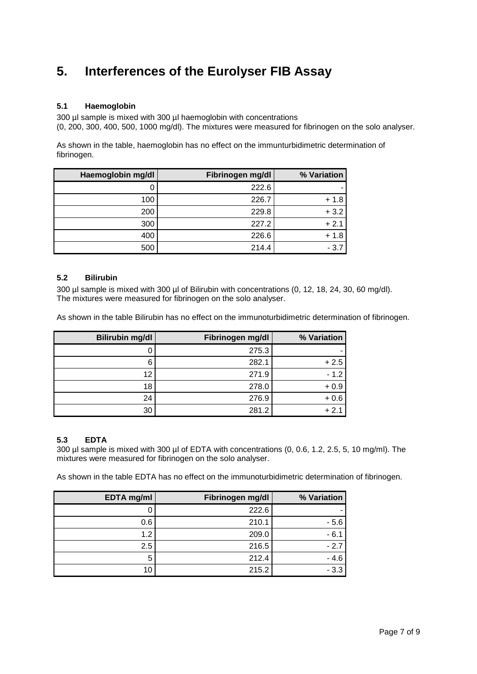### **5. Interferences of the Eurolyser FIB Assay**

#### **5.1 Haemoglobin**

300 µl sample is mixed with 300 µl haemoglobin with concentrations (0, 200, 300, 400, 500, 1000 mg/dl). The mixtures were measured for fibrinogen on the solo analyser.

As shown in the table, haemoglobin has no effect on the immunturbidimetric determination of fibrinogen.

| Haemoglobin mg/dl | Fibrinogen mg/dl | % Variation |
|-------------------|------------------|-------------|
|                   | 222.6            |             |
| 100               | 226.7            | $+1.8$      |
| 200               | 229.8            | $+3.2$      |
| 300               | 227.2            | $+2.1$      |
| 400               | 226.6            | $+1.8$      |
| 500               | 214.4            | $-3.7$      |

#### **5.2 Bilirubin**

300 µl sample is mixed with 300 µl of Bilirubin with concentrations (0, 12, 18, 24, 30, 60 mg/dl). The mixtures were measured for fibrinogen on the solo analyser.

As shown in the table Bilirubin has no effect on the immunoturbidimetric determination of fibrinogen.

| <b>Bilirubin mg/dl</b> | Fibrinogen mg/dl | % Variation |
|------------------------|------------------|-------------|
|                        | 275.3            |             |
| 6                      | 282.1            | $+2.5$      |
| 12                     | 271.9            | $-1.2$      |
| 18                     | 278.0            | $+0.9$      |
| 24                     | 276.9            | $+0.6$      |
| 30                     | 281.2            | $+2.1$      |

#### **5.3 EDTA**

300 µl sample is mixed with 300 µl of EDTA with concentrations (0, 0.6, 1.2, 2.5, 5, 10 mg/ml). The mixtures were measured for fibrinogen on the solo analyser.

As shown in the table EDTA has no effect on the immunoturbidimetric determination of fibrinogen.

| <b>EDTA</b> mg/ml | Fibrinogen mg/dl | % Variation |
|-------------------|------------------|-------------|
|                   | 222.6            |             |
| 0.6               | 210.1            | $-5.6$      |
| 1.2               | 209.0            | $-6.1$      |
| 2.5               | 216.5            | $-2.7$      |
| 5                 | 212.4            | $-4.6$      |
| 10                | 215.2            | $-3.3$      |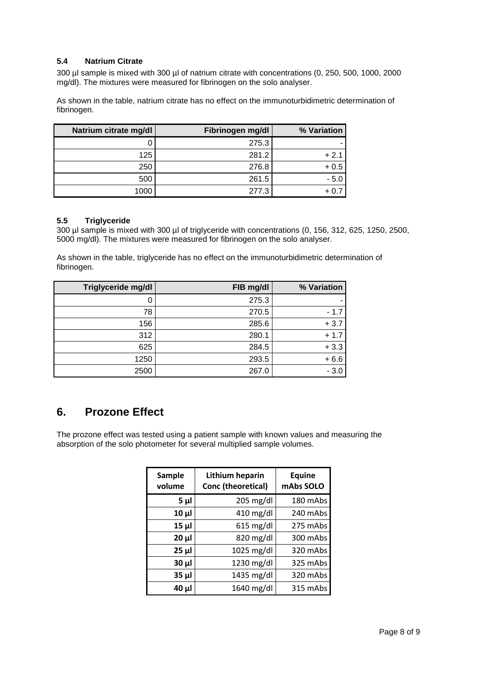#### **5.4 Natrium Citrate**

300 µl sample is mixed with 300 µl of natrium citrate with concentrations (0, 250, 500, 1000, 2000 mg/dl). The mixtures were measured for fibrinogen on the solo analyser.

As shown in the table, natrium citrate has no effect on the immunoturbidimetric determination of fibrinogen.

| Natrium citrate mg/dl | Fibrinogen mg/dl | % Variation |
|-----------------------|------------------|-------------|
|                       | 275.3            |             |
| 125                   | 281.2            | $+2.1$      |
| 250                   | 276.8            | $+0.5$      |
| 500                   | 261.5            | $-5.0$      |
| 1000                  | 277.3            |             |

### **5.5 Triglyceride**

300 µl sample is mixed with 300 µl of triglyceride with concentrations (0, 156, 312, 625, 1250, 2500, 5000 mg/dl). The mixtures were measured for fibrinogen on the solo analyser.

As shown in the table, triglyceride has no effect on the immunoturbidimetric determination of fibrinogen.

| Triglyceride mg/dl | FIB mg/dl | % Variation |
|--------------------|-----------|-------------|
| O                  | 275.3     |             |
| 78                 | 270.5     | $-1.7$      |
| 156                | 285.6     | $+3.7$      |
| 312                | 280.1     | $+1.7$      |
| 625                | 284.5     | $+3.3$      |
| 1250               | 293.5     | $+6.6$      |
| 2500               | 267.0     | $-3.0$      |

### **6. Prozone Effect**

The prozone effect was tested using a patient sample with known values and measuring the absorption of the solo photometer for several multiplied sample volumes.

| Sample<br>volume | Lithium heparin<br>Conc (theoretical) | <b>Equine</b><br>mAbs SOLO |
|------------------|---------------------------------------|----------------------------|
| $5\mu$           | $205 \text{ mg/dl}$                   | 180 mAbs                   |
| $10 \mu$         | $410$ mg/dl                           | 240 mAbs                   |
| $15 \mu$         | $615$ mg/dl                           | 275 mAbs                   |
| $20 \mu$         | 820 mg/dl                             | 300 mAbs                   |
| $25 \mu$         | 1025 mg/dl                            | 320 mAbs                   |
| $30 \mu$         | 1230 mg/dl                            | 325 mAbs                   |
| $35 \mu$         | 1435 mg/dl                            | 320 mAbs                   |
| $40 \mu$         | 1640 mg/dl                            | 315 mAbs                   |